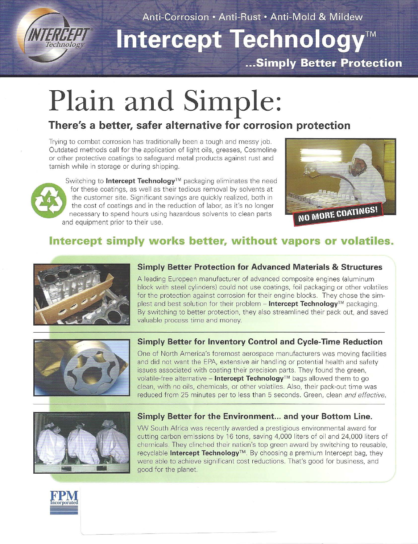

Anti-Corrosion • Anti-Rust • Anti-Mold & Mildew

## Intercept Technology™

... Simply Better Protection

# **Plain and Simple:**

## **There's a better, safer alternative for corrosion protection**

Trying to combat corrosion has traditionally been a tough and messy job. Outdated methods call for the application of light oils, greases, Cosmoline or other protective coatings to safeguard metal products against rust and tarnish while in storage or during shipping.

Switching to **Intercept Technology**™ packaging eliminates the need for these coatings, as well as their tedious removal by solvents at the customer site. Significant savings are quickly realized, both in the cost of coati the customer site. Significant savings are quickly realized, both in the cost of coatings and in the reduction of labor, as it's no longer necessary to spend hours using hazardous solvents to clean parts and equipment prior to their use.



## **Intercept simply works better, without vapors or volatiles.**



#### **Simply Better Protection for Advanced Materials & Structures**

A leading European manufacturer of advanced composite engines (aluminum block with steel cylinders) could not use coatings, foil packaging or other volatiles for the protection against corrosion for their engine blocks. They chose the simplest and best solution for their problem - **Intercept Technology™** packaging. By switching to better protection, they also streamlined their pack out, and saved valuable process time and money.



#### **Simply Better for Inventory Control and Cycle-Time Reduction**

One of North America's foremost aerospace manufacturers was moving facilities and did not want the EPA, extensive air handling or potential health and safety issues associated with coating their precision parts. They found the green, volatile-free alternative - **Intercept Technology™** bags allowed them to go clean, with no oils, chemicals, or other volatiles. Also, their pack-out time was reduced from 25 minutes per to less than 5 seconds. Green, clean and effective.



#### **Simply Better for the Environment... and your Bottom Line.**

VW South Africa was recently awarded a prestigious environmental award for cutting carbon emissions by 16 tons, saving 4,000 liters of oil and 24,000 liters of chemicals. They clinched their nation's top green award by switching to reusable, recyclable **Intercept Technology™.** By choosing a premium Intercept bag, they were able to achieve significant cost reductions . That's good for business, and good for the planet.